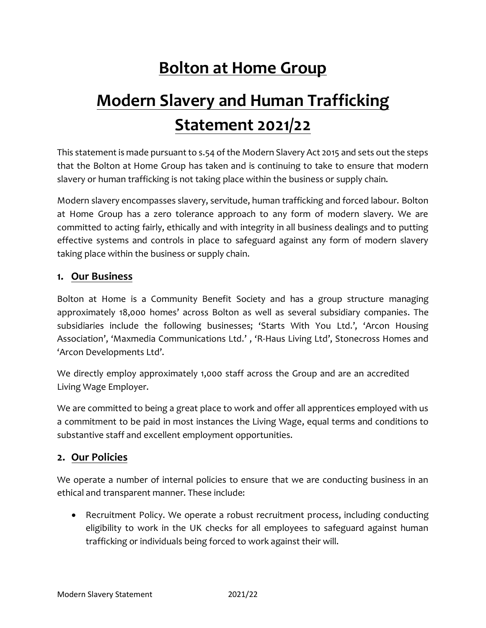# **Bolton at Home Group**

# **Modern Slavery and Human Trafficking Statement 2021/22**

This statement is made pursuant to s.54 of the Modern Slavery Act 2015 and sets out the steps that the Bolton at Home Group has taken and is continuing to take to ensure that modern slavery or human trafficking is not taking place within the business or supply chain.

Modern slavery encompasses slavery, servitude, human trafficking and forced labour. Bolton at Home Group has a zero tolerance approach to any form of modern slavery. We are committed to acting fairly, ethically and with integrity in all business dealings and to putting effective systems and controls in place to safeguard against any form of modern slavery taking place within the business or supply chain.

#### **1. Our Business**

Bolton at Home is a Community Benefit Society and has a group structure managing approximately 18,000 homes' across Bolton as well as several subsidiary companies. The subsidiaries include the following businesses; 'Starts With You Ltd.', 'Arcon Housing Association', 'Maxmedia Communications Ltd.' , 'R-Haus Living Ltd', Stonecross Homes and 'Arcon Developments Ltd'.

We directly employ approximately 1,000 staff across the Group and are an accredited Living Wage Employer.

We are committed to being a great place to work and offer all apprentices employed with us a commitment to be paid in most instances the Living Wage, equal terms and conditions to substantive staff and excellent employment opportunities.

# **2. Our Policies**

We operate a number of internal policies to ensure that we are conducting business in an ethical and transparent manner. These include:

• Recruitment Policy. We operate a robust recruitment process, including conducting eligibility to work in the UK checks for all employees to safeguard against human trafficking or individuals being forced to work against their will.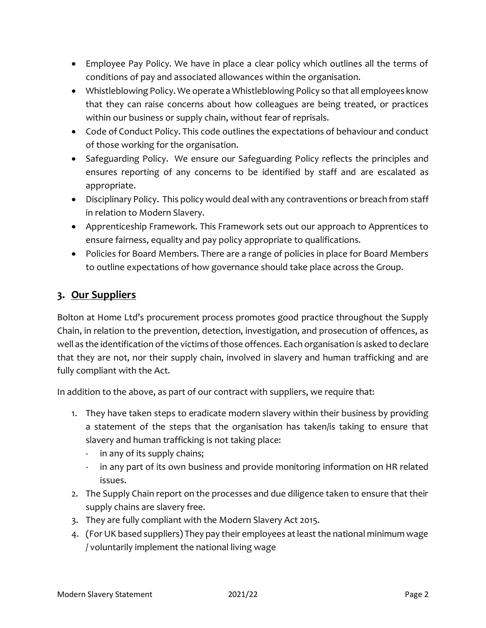- Employee Pay Policy. We have in place a clear policy which outlines all the terms of conditions of pay and associated allowances within the organisation.
- Whistleblowing Policy. We operate a Whistleblowing Policy so that all employees know that they can raise concerns about how colleagues are being treated, or practices within our business or supply chain, without fear of reprisals.
- Code of Conduct Policy. This code outlines the expectations of behaviour and conduct of those working for the organisation.
- Safeguarding Policy. We ensure our Safeguarding Policy reflects the principles and ensures reporting of any concerns to be identified by staff and are escalated as appropriate.
- Disciplinary Policy. This policy would deal with any contraventions or breach from staff in relation to Modern Slavery.
- Apprenticeship Framework. This Framework sets out our approach to Apprentices to ensure fairness, equality and pay policy appropriate to qualifications.
- Policies for Board Members. There are a range of policies in place for Board Members to outline expectations of how governance should take place across the Group.

# **3. Our Suppliers**

Bolton at Home Ltd's procurement process promotes good practice throughout the Supply Chain, in relation to the prevention, detection, investigation, and prosecution of offences, as well as the identification of the victims of those offences. Each organisation is asked to declare that they are not, nor their supply chain, involved in slavery and human trafficking and are fully compliant with the Act.

In addition to the above, as part of our contract with suppliers, we require that:

- 1. They have taken steps to eradicate modern slavery within their business by providing a statement of the steps that the organisation has taken/is taking to ensure that slavery and human trafficking is not taking place:
	- in any of its supply chains;
	- in any part of its own business and provide monitoring information on HR related issues.
- 2. The Supply Chain report on the processes and due diligence taken to ensure that their supply chains are slavery free.
- 3. They are fully compliant with the Modern Slavery Act 2015.
- 4. (For UK based suppliers) They pay their employees at least the national minimum wage / voluntarily implement the national living wage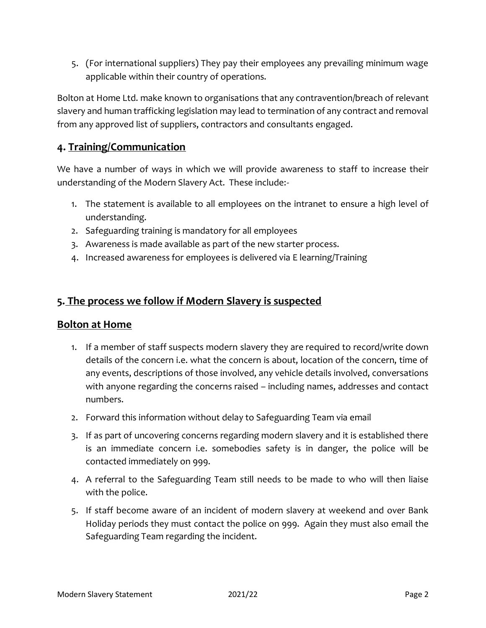5. (For international suppliers) They pay their employees any prevailing minimum wage applicable within their country of operations.

Bolton at Home Ltd. make known to organisations that any contravention/breach of relevant slavery and human trafficking legislation may lead to termination of any contract and removal from any approved list of suppliers, contractors and consultants engaged.

# **4. Training/Communication**

We have a number of ways in which we will provide awareness to staff to increase their understanding of the Modern Slavery Act. These include:-

- 1. The statement is available to all employees on the intranet to ensure a high level of understanding.
- 2. Safeguarding training is mandatory for all employees
- 3. Awareness is made available as part of the new starter process.
- 4. Increased awareness for employees is delivered via E learning/Training

# **5. The process we follow if Modern Slavery is suspected**

#### **Bolton at Home**

- 1. If a member of staff suspects modern slavery they are required to record/write down details of the concern i.e. what the concern is about, location of the concern, time of any events, descriptions of those involved, any vehicle details involved, conversations with anyone regarding the concerns raised – including names, addresses and contact numbers.
- 2. Forward this information without delay to Safeguarding Team via email
- 3. If as part of uncovering concerns regarding modern slavery and it is established there is an immediate concern i.e. somebodies safety is in danger, the police will be contacted immediately on 999.
- 4. A referral to the Safeguarding Team still needs to be made to who will then liaise with the police.
- 5. If staff become aware of an incident of modern slavery at weekend and over Bank Holiday periods they must contact the police on 999. Again they must also email the Safeguarding Team regarding the incident.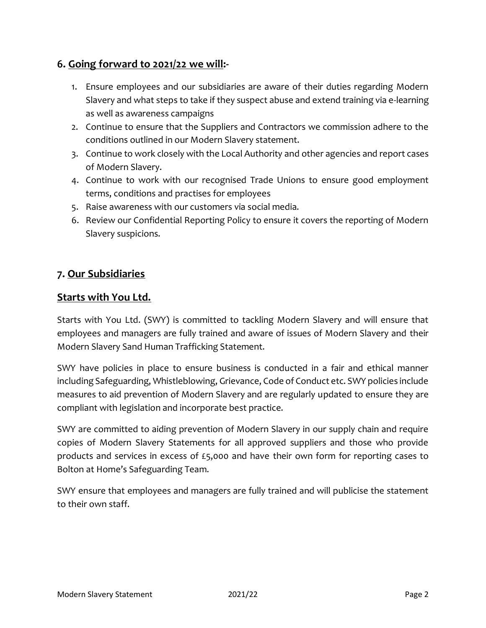# **6. Going forward to 2021/22 we will:-**

- 1. Ensure employees and our subsidiaries are aware of their duties regarding Modern Slavery and what steps to take if they suspect abuse and extend training via e-learning as well as awareness campaigns
- 2. Continue to ensure that the Suppliers and Contractors we commission adhere to the conditions outlined in our Modern Slavery statement.
- 3. Continue to work closely with the Local Authority and other agencies and report cases of Modern Slavery.
- 4. Continue to work with our recognised Trade Unions to ensure good employment terms, conditions and practises for employees
- 5. Raise awareness with our customers via social media.
- 6. Review our Confidential Reporting Policy to ensure it covers the reporting of Modern Slavery suspicions.

# **7. Our Subsidiaries**

#### **Starts with You Ltd.**

Starts with You Ltd. (SWY) is committed to tackling Modern Slavery and will ensure that employees and managers are fully trained and aware of issues of Modern Slavery and their Modern Slavery Sand Human Trafficking Statement.

SWY have policies in place to ensure business is conducted in a fair and ethical manner including Safeguarding, Whistleblowing, Grievance, Code of Conduct etc. SWY policies include measures to aid prevention of Modern Slavery and are regularly updated to ensure they are compliant with legislation and incorporate best practice.

SWY are committed to aiding prevention of Modern Slavery in our supply chain and require copies of Modern Slavery Statements for all approved suppliers and those who provide products and services in excess of £5,000 and have their own form for reporting cases to Bolton at Home's Safeguarding Team.

SWY ensure that employees and managers are fully trained and will publicise the statement to their own staff.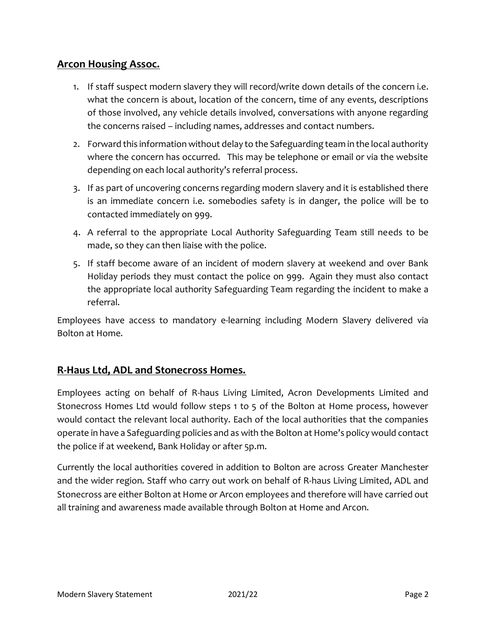# **Arcon Housing Assoc.**

- 1. If staff suspect modern slavery they will record/write down details of the concern i.e. what the concern is about, location of the concern, time of any events, descriptions of those involved, any vehicle details involved, conversations with anyone regarding the concerns raised – including names, addresses and contact numbers.
- 2. Forward this information without delay to the Safeguarding team in the local authority where the concern has occurred. This may be telephone or email or via the website depending on each local authority's referral process.
- 3. If as part of uncovering concerns regarding modern slavery and it is established there is an immediate concern i.e. somebodies safety is in danger, the police will be to contacted immediately on 999.
- 4. A referral to the appropriate Local Authority Safeguarding Team still needs to be made, so they can then liaise with the police.
- 5. If staff become aware of an incident of modern slavery at weekend and over Bank Holiday periods they must contact the police on 999. Again they must also contact the appropriate local authority Safeguarding Team regarding the incident to make a referral.

Employees have access to mandatory e-learning including Modern Slavery delivered via Bolton at Home.

# **R-Haus Ltd, ADL and Stonecross Homes.**

Employees acting on behalf of R-haus Living Limited, Acron Developments Limited and Stonecross Homes Ltd would follow steps 1 to 5 of the Bolton at Home process, however would contact the relevant local authority. Each of the local authorities that the companies operate in have a Safeguarding policies and as with the Bolton at Home's policy would contact the police if at weekend, Bank Holiday or after 5p.m.

Currently the local authorities covered in addition to Bolton are across Greater Manchester and the wider region. Staff who carry out work on behalf of R-haus Living Limited, ADL and Stonecross are either Bolton at Home or Arcon employees and therefore will have carried out all training and awareness made available through Bolton at Home and Arcon.